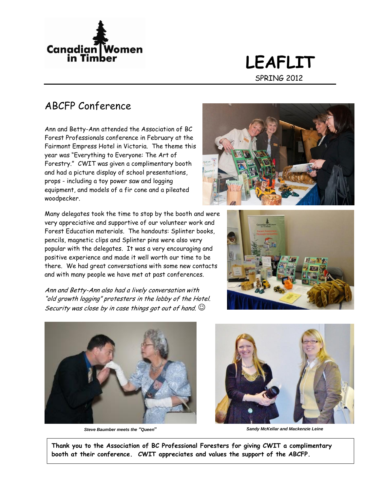

# **LEAFLIT** SPRING 2012

# ABCFP Conference

Ann and Betty-Ann attended the Association of BC Forest Professionals conference in February at the Fairmont Empress Hotel in Victoria. The theme this year was "Everything to Everyone: The Art of Forestry." CWIT was given a complimentary booth and had a picture display of school presentations, props - including a toy power saw and logging equipment, and models of a fir cone and a pileated woodpecker.

Many delegates took the time to stop by the booth and were very appreciative and supportive of our volunteer work and Forest Education materials. The handouts: Splinter books, pencils, magnetic clips and Splinter pins were also very popular with the delegates. It was a very encouraging and positive experience and made it well worth our time to be there. We had great conversations with some new contacts and with many people we have met at past conferences.



Ann and Betty-Ann also had a lively conversation with "old growth logging" protesters in the lobby of the Hotel. Security was close by in case things got out of hand.  $\odot$ 





*Steve Baumber meets the "Queen***"** *Sandy McKellar and Mackenzie Leine*

**Thank you to the Association of BC Professional Foresters for giving CWIT a complimentary booth at their conference. CWIT appreciates and values the support of the ABCFP.**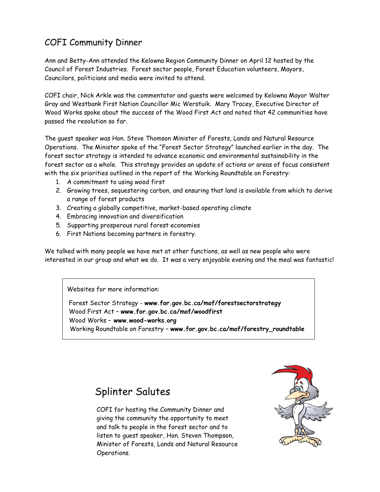## COFI Community Dinner

Ann and Betty-Ann attended the Kelowna Region Community Dinner on April 12 hosted by the Council of Forest Industries. Forest sector people, Forest Education volunteers, Mayors, Councilors, politicians and media were invited to attend.

COFI chair, Nick Arkle was the commentator and guests were welcomed by Kelowna Mayor Walter Gray and Westbank First Nation Councillor Mic Werstuik. Mary Tracey, Executive Director of Wood Works spoke about the success of the Wood First Act and noted that 42 communities have passed the resolution so far.

The guest speaker was Hon. Steve Thomson Minister of Forests, Lands and Natural Resource Operations. The Minister spoke of the "Forest Sector Strategy" launched earlier in the day. The forest sector strategy is intended to advance economic and environmental sustainability in the forest sector as a whole. This strategy provides an update of actions or areas of focus consistent with the six priorities outlined in the report of the Working Roundtable on Forestry:

- 1. A commitment to using wood first
- 2. Growing trees, sequestering carbon, and ensuring that land is available from which to derive a range of forest products
- 3. Creating a globally competitive, market-based operating climate
- 4. Embracing innovation and diversification
- 5. Supporting prosperous rural forest economies
- 6. First Nations becoming partners in forestry.

We talked with many people we have met at other functions, as well as new people who were interested in our group and what we do. It was a very enjoyable evening and the meal was fantastic!

Websites for more information: Forest Sector Strategy - **[www.for.gov.bc.ca/mof/forestsectorstrategy](http://www.for.gov.bc.ca/mof/forestsectorstrategy)** Wood First Act – **[www.for.gov.bc.ca/mof/woodfirst](http://www.for.gov.bc.ca/mof/woodfirst)** Wood Works – **[www.wood-works.org](http://www.wood-works.org/)** Working Roundtable on Forestry – **[www.for.gov.bc.ca/mof/forestry\\_roundtable](http://www.for.gov.bc.ca/mof/forestry_roundtable)**

# Splinter Salutes

 COFI for hosting the Community Dinner and giving the community the opportunity to meet and talk to people in the forest sector and to listen to guest speaker, Hon. Steven Thompson, Minister of Forests, Lands and Natural Resource Operations.

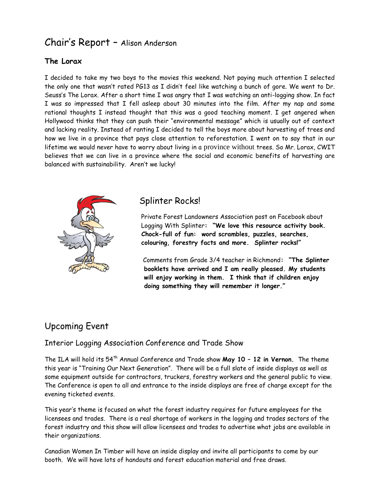# Chair's Report – Alison Anderson

#### **The Lorax**

I decided to take my two boys to the movies this weekend. Not paying much attention I selected the only one that wasn't rated PG13 as I didn't feel like watching a bunch of gore. We went to Dr. Seuss's The Lorax. After a short time I was angry that I was watching an anti-logging show. In fact I was so impressed that I fell asleep about 30 minutes into the film. After my nap and some rational thoughts I instead thought that this was a good teaching moment. I get angered when Hollywood thinks that they can push their "environmental message" which is usually out of context and lacking reality. Instead of ranting I decided to tell the boys more about harvesting of trees and how we live in a province that pays close attention to reforestation. I went on to say that in our lifetime we would never have to worry about living in a province without trees. So Mr. Lorax, CWIT believes that we can live in a province where the social and economic benefits of harvesting are balanced with sustainability. Aren't we lucky!



#### Splinter Rocks!

 Private Forest Landowners Association post on Facebook about Logging With Splinter**: "We love this resource activity book. Chock-full of fun: word scrambles, puzzles, searches, colouring, forestry facts and more. Splinter rocks!"**

 Comments from Grade 3/4 teacher in Richmond**: "The Splinter booklets have arrived and I am really pleased. My students will enjoy working in them. I think that if children enjoy doing something they will remember it longer."**

### Upcoming Event

Interior Logging Association Conference and Trade Show

The ILA will hold its 54th Annual Conference and Trade show **May 10 – 12 in Vernon.** The theme this year is "Training Our Next Generation". There will be a full slate of inside displays as well as some equipment outside for contractors, truckers, forestry workers and the general public to view. The Conference is open to all and entrance to the inside displays are free of charge except for the evening ticketed events.

This year's theme is focused on what the forest industry requires for future employees for the licensees and trades. There is a real shortage of workers in the logging and trades sectors of the forest industry and this show will allow licensees and trades to advertise what jobs are available in their organizations.

Canadian Women In Timber will have an inside display and invite all participants to come by our booth. We will have lots of handouts and forest education material and free draws.